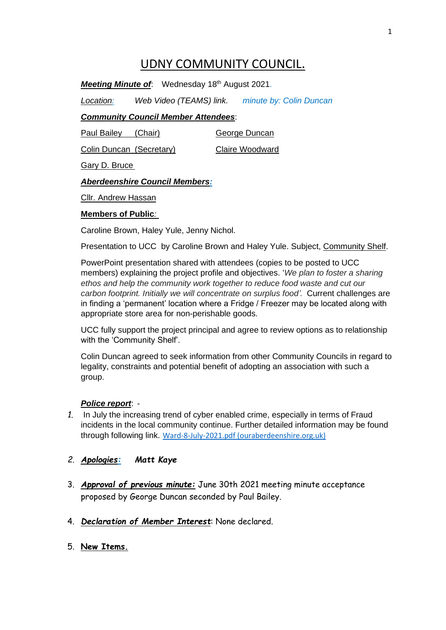# UDNY COMMUNITY COUNCIL.

**Meeting Minute of:** Wednesday 18<sup>th</sup> August 2021.

*Location: Web Video (TEAMS) link. minute by: Colin Duncan*

# *Community Council Member Attendees*:

Paul Bailey (Chair) George Duncan

Colin Duncan (Secretary) Claire Woodward

Gary D. Bruce

# *Aberdeenshire Council Members:*

Cllr. Andrew Hassan

#### **Members of Public***:*

Caroline Brown, Haley Yule, Jenny Nichol.

Presentation to UCC by Caroline Brown and Haley Yule. Subject, Community Shelf.

PowerPoint presentation shared with attendees (copies to be posted to UCC members) explaining the project profile and objectives. '*We plan to foster a sharing ethos and help the community work together to reduce food waste and cut our carbon footprint. Initially we will concentrate on surplus food'.* Current challenges are in finding a 'permanent' location where a Fridge / Freezer may be located along with appropriate store area for non-perishable goods.

UCC fully support the project principal and agree to review options as to relationship with the 'Community Shelf'.

Colin Duncan agreed to seek information from other Community Councils in regard to legality, constraints and potential benefit of adopting an association with such a group.

# *Police report*: -

- *1.* In July the increasing trend of cyber enabled crime, especially in terms of Fraud incidents in the local community continue. Further detailed information may be found through following link. [Ward-8-July-2021.pdf \(ouraberdeenshire.org.uk\)](https://www.ouraberdeenshire.org.uk/wp-content/uploads/2021/08/Ward-8-July-2021.pdf)
- *2. Apologies: Matt Kaye*
- 3. *Approval of previous minute:* June 30th 2021 meeting minute acceptance proposed by George Duncan seconded by Paul Bailey.
- 4. *Declaration of Member Interest*: None declared.
- 5. **New Items.**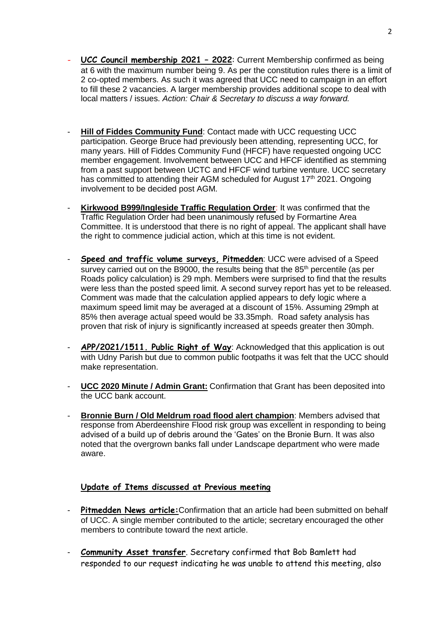- **UCC Council membership 2021 – 2022**: Current Membership confirmed as being at 6 with the maximum number being 9. As per the constitution rules there is a limit of 2 co-opted members. As such it was agreed that UCC need to campaign in an effort to fill these 2 vacancies. A larger membership provides additional scope to deal with local matters / issues. *Action: Chair & Secretary to discuss a way forward.*
- **Hill of Fiddes Community Fund**: Contact made with UCC requesting UCC participation. George Bruce had previously been attending, representing UCC, for many years. Hill of Fiddes Community Fund (HFCF) have requested ongoing UCC member engagement. Involvement between UCC and HFCF identified as stemming from a past support between UCTC and HFCF wind turbine venture. UCC secretary has committed to attending their AGM scheduled for August 17<sup>th</sup> 2021. Ongoing involvement to be decided post AGM*.*
- **Kirkwood B999/Ingleside Traffic Regulation Order**: It was confirmed that the Traffic Regulation Order had been unanimously refused by Formartine Area Committee. It is understood that there is no right of appeal. The applicant shall have the right to commence judicial action, which at this time is not evident.
- **Speed and traffic volume surveys, Pitmedden**: UCC were advised of a Speed survey carried out on the B9000, the results being that the 85<sup>th</sup> percentile (as per Roads policy calculation) is 29 mph. Members were surprised to find that the results were less than the posted speed limit. A second survey report has yet to be released. Comment was made that the calculation applied appears to defy logic where a maximum speed limit may be averaged at a discount of 15%. Assuming 29mph at 85% then average actual speed would be 33.35mph. Road safety analysis has proven that risk of injury is significantly increased at speeds greater then 30mph.
- **APP/2021/1511. Public Right of Way**: Acknowledged that this application is out with Udny Parish but due to common public footpaths it was felt that the UCC should make representation.
- **UCC 2020 Minute / Admin Grant:** Confirmation that Grant has been deposited into the UCC bank account.
- **Bronnie Burn / Old Meldrum road flood alert champion**: Members advised that response from Aberdeenshire Flood risk group was excellent in responding to being advised of a build up of debris around the 'Gates' on the Bronie Burn. It was also noted that the overgrown banks fall under Landscape department who were made aware.

# **Update of Items discussed at Previous meeting**

- **Pitmedden News article:**Confirmation that an article had been submitted on behalf of UCC. A single member contributed to the article; secretary encouraged the other members to contribute toward the next article.
- **Community Asset transfer**. Secretary confirmed that Bob Bamlett had responded to our request indicating he was unable to attend this meeting, also